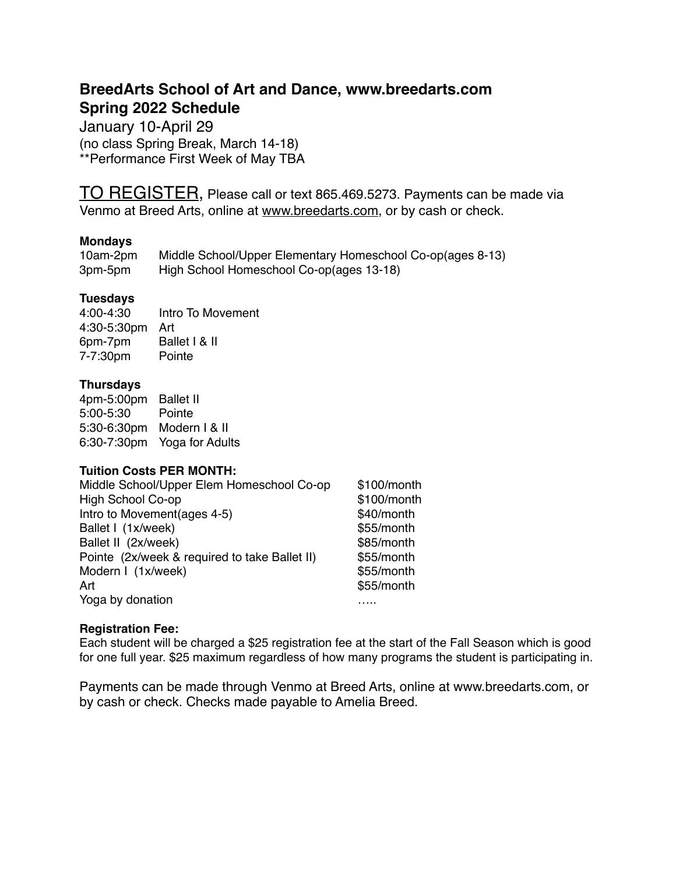## **BreedArts School of Art and Dance, www.breedarts.com Spring 2022 Schedule**

January 10-April 29 (no class Spring Break, March 14-18) \*\*Performance First Week of May TBA

TO REGISTER, Please call or text 865.469.5273. Payments can be made via Venmo at Breed Arts, online at [www.breedarts.com,](http://www.breedarts.com) or by cash or check.

### **Mondays**

| 10am-2pm | Middle School/Upper Elementary Homeschool Co-op(ages 8-13) |
|----------|------------------------------------------------------------|
| 3pm-5pm  | High School Homeschool Co-op(ages 13-18)                   |

## **Tuesdays**

4:00-4:30 Intro To Movement 4:30-5:30pm Art 6pm-7pm Ballet I & II 7-7:30pm Pointe

### **Thursdays**

4pm-5:00pm Ballet II 5:00-5:30 Pointe 5:30-6:30pm Modern I & II 6:30-7:30pm Yoga for Adults

### **Tuition Costs PER MONTH:**

| Middle School/Upper Elem Homeschool Co-op     | \$100/month |
|-----------------------------------------------|-------------|
| High School Co-op                             | \$100/month |
| Intro to Movement (ages 4-5)                  | \$40/month  |
| Ballet I (1x/week)                            | \$55/month  |
| Ballet II (2x/week)                           | \$85/month  |
| Pointe (2x/week & required to take Ballet II) | \$55/month  |
| Modern I (1x/week)                            | \$55/month  |
| Art                                           | \$55/month  |
| Yoga by donation                              |             |

### **Registration Fee:**

Each student will be charged a \$25 registration fee at the start of the Fall Season which is good for one full year. \$25 maximum regardless of how many programs the student is participating in.

Payments can be made through Venmo at Breed Arts, online at www.breedarts.com, or by cash or check. Checks made payable to Amelia Breed.